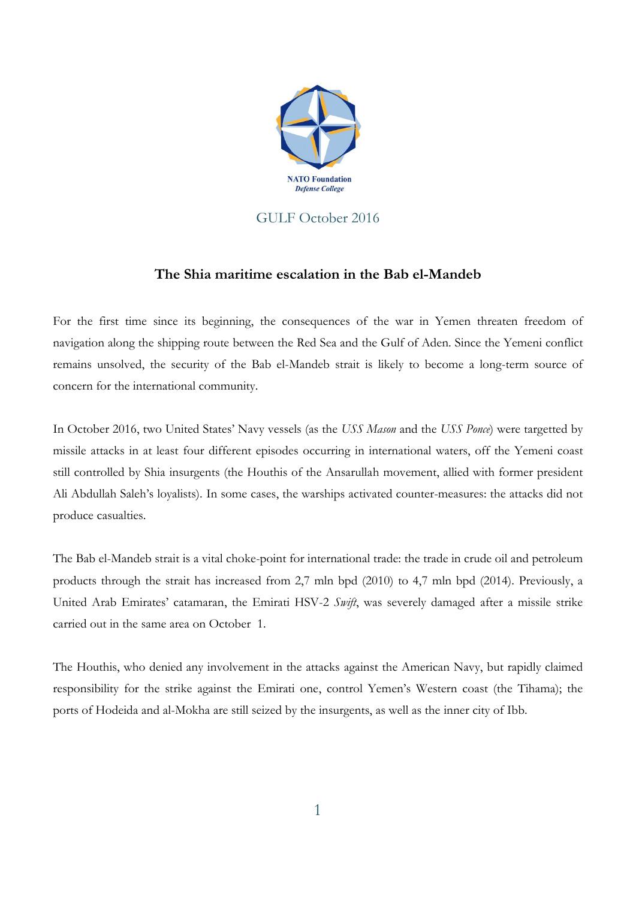

## GULF October 2016

## **The Shia maritime escalation in the Bab el-Mandeb**

For the first time since its beginning, the consequences of the war in Yemen threaten freedom of navigation along the shipping route between the Red Sea and the Gulf of Aden. Since the Yemeni conflict remains unsolved, the security of the Bab el-Mandeb strait is likely to become a long-term source of concern for the international community.

In October 2016, two United States' Navy vessels (as the *USS Mason* and the *USS Ponce*) were targetted by missile attacks in at least four different episodes occurring in international waters, off the Yemeni coast still controlled by Shia insurgents (the Houthis of the Ansarullah movement, allied with former president Ali Abdullah Saleh's loyalists). In some cases, the warships activated counter-measures: the attacks did not produce casualties.

The Bab el-Mandeb strait is a vital choke-point for international trade: the trade in crude oil and petroleum products through the strait has increased from 2,7 mln bpd (2010) to 4,7 mln bpd (2014). Previously, a United Arab Emirates' catamaran, the Emirati HSV-2 *Swift*, was severely damaged after a missile strike carried out in the same area on October 1.

The Houthis, who denied any involvement in the attacks against the American Navy, but rapidly claimed responsibility for the strike against the Emirati one, control Yemen's Western coast (the Tihama); the ports of Hodeida and al-Mokha are still seized by the insurgents, as well as the inner city of Ibb.